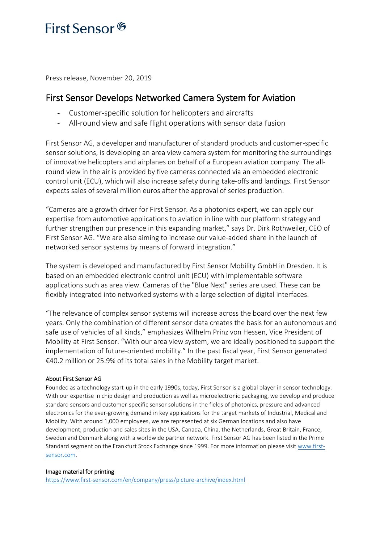## First Sensor<sup>6</sup>

Press release, November 20, 2019

### First Sensor Develops Networked Camera System for Aviation

- Customer-specific solution for helicopters and aircrafts
- All-round view and safe flight operations with sensor data fusion

First Sensor AG, a developer and manufacturer of standard products and customer-specific sensor solutions, is developing an area view camera system for monitoring the surroundings of innovative helicopters and airplanes on behalf of a European aviation company. The allround view in the air is provided by five cameras connected via an embedded electronic control unit (ECU), which will also increase safety during take-offs and landings. First Sensor expects sales of several million euros after the approval of series production.

"Cameras are a growth driver for First Sensor. As a photonics expert, we can apply our expertise from automotive applications to aviation in line with our platform strategy and further strengthen our presence in this expanding market," says Dr. Dirk Rothweiler, CEO of First Sensor AG. "We are also aiming to increase our value-added share in the launch of networked sensor systems by means of forward integration."

The system is developed and manufactured by First Sensor Mobility GmbH in Dresden. It is based on an embedded electronic control unit (ECU) with implementable software applications such as area view. Cameras of the "Blue Next" series are used. These can be flexibly integrated into networked systems with a large selection of digital interfaces.

"The relevance of complex sensor systems will increase across the board over the next few years. Only the combination of different sensor data creates the basis for an autonomous and safe use of vehicles of all kinds," emphasizes Wilhelm Prinz von Hessen, Vice President of Mobility at First Sensor. "With our area view system, we are ideally positioned to support the implementation of future-oriented mobility." In the past fiscal year, First Sensor generated €40.2 million or 25.9% of its total sales in the Mobility target market.

#### About First Sensor AG

Founded as a technology start-up in the early 1990s, today, First Sensor is a global player in sensor technology. With our expertise in chip design and production as well as microelectronic packaging, we develop and produce standard sensors and customer-specific sensor solutions in the fields of photonics, pressure and advanced electronics for the ever-growing demand in key applications for the target markets of Industrial, Medical and Mobility. With around 1,000 employees, we are represented at six German locations and also have development, production and sales sites in the USA, Canada, China, the Netherlands, Great Britain, France, Sweden and Denmark along with a worldwide partner network. First Sensor AG has been listed in the Prime Standard segment on the Frankfurt Stock Exchange since 1999. For more information please visit [www.first](http://www.first-sensor.com/)[sensor.com.](http://www.first-sensor.com/)

#### Image material for printing

<https://www.first-sensor.com/en/company/press/picture-archive/index.html>